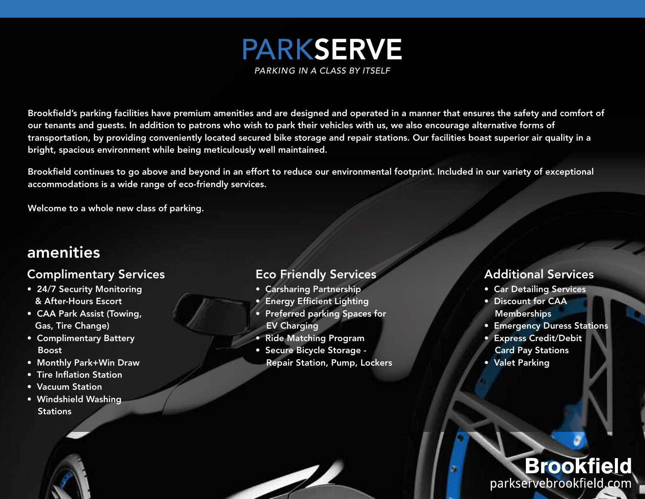

Brookfield's parking facilities have premium amenities and are designed and operated in a manner that ensures the safety and comfort of our tenants and guests. In addition to patrons who wish to park their vehicles with us, we also encourage alternative forms of transportation, by providing conveniently located secured bike storage and repair stations. Our facilities boast superior air quality in a bright, spacious environment while being meticulously well maintained.

Brookfield continues to go above and beyond in an effort to reduce our environmental footprint. Included in our variety of exceptional accommodations is a wide range of eco-friendly services.

Welcome to a whole new class of parking.

### amenities

#### Complimentary Services

- 24/7 Security Monitoring & After-Hours Escort
- CAA Park Assist (Towing, Gas, Tire Change)
- Complimentary Battery Boost
- Monthly Park+Win Draw
- Tire Inflation Station
- Vacuum Station
- Windshield Washing **Stations**

#### Eco Friendly Services

- Carsharing Partnership
- Energy Efficient Lighting
- Preferred parking Spaces for EV Charging
- Ride Matching Program

 $\overline{\mathscr{L}}$ 

ł

• Secure Bicycle Storage - Repair Station, Pump, Lockers

#### Additional Services

- Car Detailing Services
- Discount for CAA **Memberships**
- Emergency Duress Stations
- Express Credit/Debit Card Pay Stations
- Valet Parking

## **Brookfield** parkservebrookfield.com